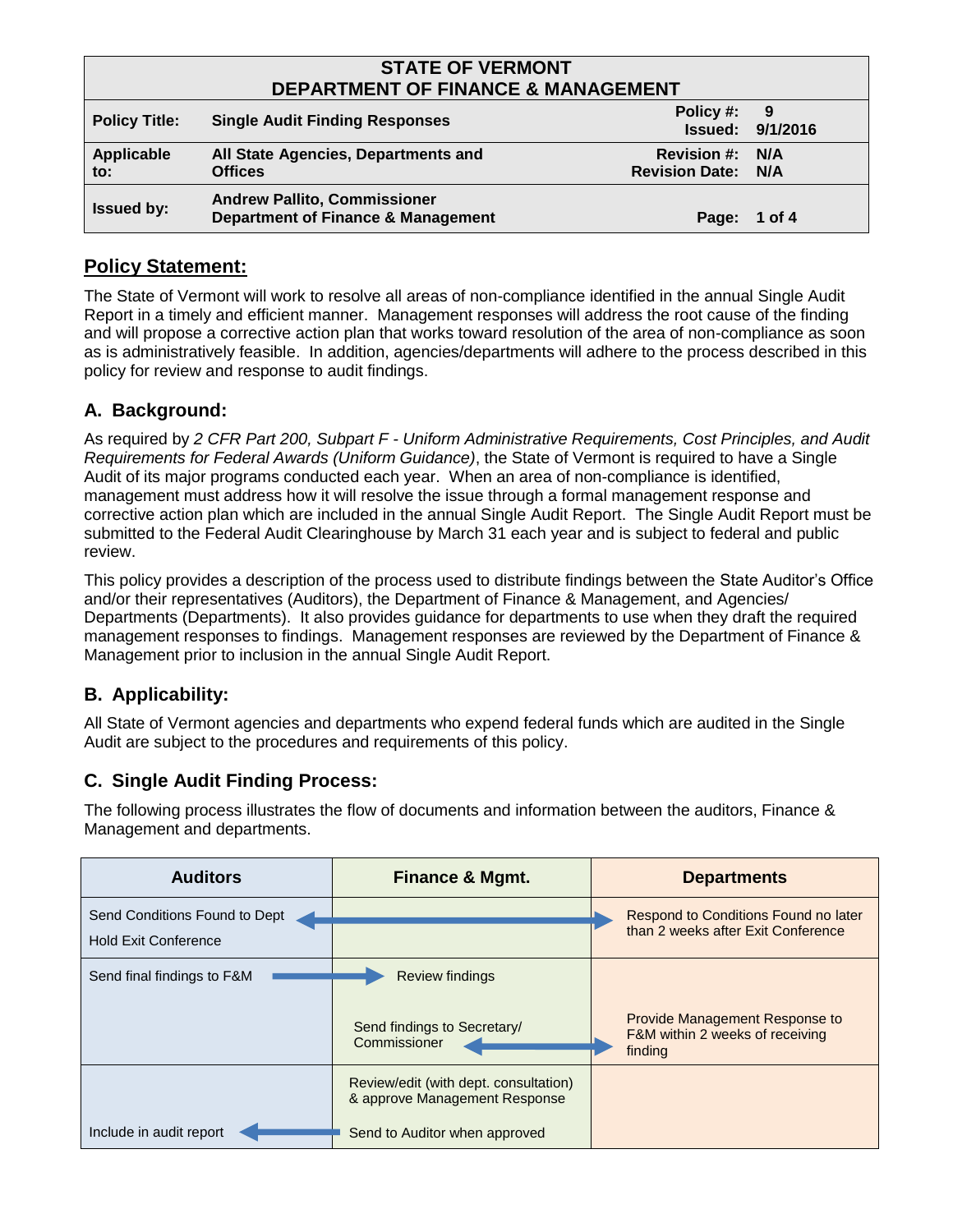| <b>STATE OF VERMONT</b><br><b>DEPARTMENT OF FINANCE &amp; MANAGEMENT</b> |                                                                                      |                                                     |                                |
|--------------------------------------------------------------------------|--------------------------------------------------------------------------------------|-----------------------------------------------------|--------------------------------|
| <b>Policy Title:</b>                                                     | <b>Single Audit Finding Responses</b>                                                | Policy #:                                           | - 9<br><b>Issued: 9/1/2016</b> |
| Applicable<br>to:                                                        | All State Agencies, Departments and<br><b>Offices</b>                                | <b>Revision #: N/A</b><br><b>Revision Date: N/A</b> |                                |
| <b>Issued by:</b>                                                        | <b>Andrew Pallito, Commissioner</b><br><b>Department of Finance &amp; Management</b> | Page: 1 of 4                                        |                                |

# **Policy Statement:**

The State of Vermont will work to resolve all areas of non-compliance identified in the annual Single Audit Report in a timely and efficient manner. Management responses will address the root cause of the finding and will propose a corrective action plan that works toward resolution of the area of non-compliance as soon as is administratively feasible. In addition, agencies/departments will adhere to the process described in this policy for review and response to audit findings.

# **A. Background:**

As required by *2 CFR Part 200, Subpart F - Uniform Administrative Requirements, Cost Principles, and Audit Requirements for Federal Awards (Uniform Guidance)*, the State of Vermont is required to have a Single Audit of its major programs conducted each year. When an area of non-compliance is identified, management must address how it will resolve the issue through a formal management response and corrective action plan which are included in the annual Single Audit Report. The Single Audit Report must be submitted to the Federal Audit Clearinghouse by March 31 each year and is subject to federal and public review.

This policy provides a description of the process used to distribute findings between the State Auditor's Office and/or their representatives (Auditors), the Department of Finance & Management, and Agencies/ Departments (Departments). It also provides guidance for departments to use when they draft the required management responses to findings. Management responses are reviewed by the Department of Finance & Management prior to inclusion in the annual Single Audit Report.

# **B. Applicability:**

All State of Vermont agencies and departments who expend federal funds which are audited in the Single Audit are subject to the procedures and requirements of this policy.

# **C. Single Audit Finding Process:**

The following process illustrates the flow of documents and information between the auditors, Finance & Management and departments.

| <b>Auditors</b>                                              | <b>Finance &amp; Mgmt.</b>                                                                              | <b>Departments</b>                                                           |
|--------------------------------------------------------------|---------------------------------------------------------------------------------------------------------|------------------------------------------------------------------------------|
| Send Conditions Found to Dept<br><b>Hold Exit Conference</b> |                                                                                                         | Respond to Conditions Found no later<br>than 2 weeks after Exit Conference   |
| Send final findings to F&M                                   | <b>Review findings</b><br>Send findings to Secretary/<br>Commissioner                                   | Provide Management Response to<br>F&M within 2 weeks of receiving<br>finding |
| Include in audit report                                      | Review/edit (with dept. consultation)<br>& approve Management Response<br>Send to Auditor when approved |                                                                              |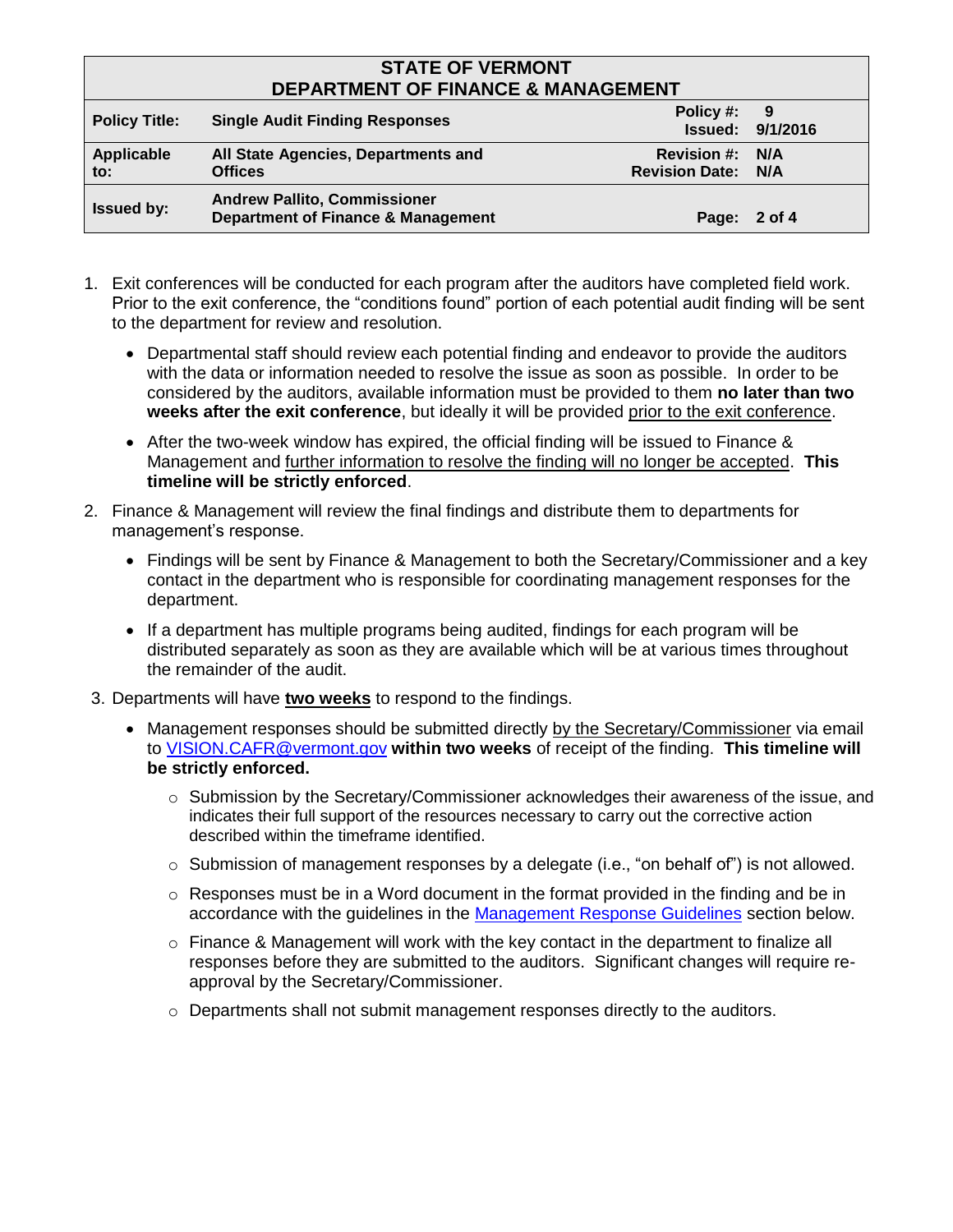# **STATE OF VERMONT DEPARTMENT OF FINANCE & MANAGEMENT**

| DEFARTIVIENT OF FINANCE & MANAGEMENT |                                                                                      |                                                     |                         |
|--------------------------------------|--------------------------------------------------------------------------------------|-----------------------------------------------------|-------------------------|
| <b>Policy Title:</b>                 | <b>Single Audit Finding Responses</b>                                                | Policy #: 9                                         | <b>Issued: 9/1/2016</b> |
| Applicable<br>to:                    | All State Agencies, Departments and<br><b>Offices</b>                                | <b>Revision #: N/A</b><br><b>Revision Date: N/A</b> |                         |
| <b>Issued by:</b>                    | <b>Andrew Pallito, Commissioner</b><br><b>Department of Finance &amp; Management</b> | Page: 2 of 4                                        |                         |

- 1. Exit conferences will be conducted for each program after the auditors have completed field work. Prior to the exit conference, the "conditions found" portion of each potential audit finding will be sent to the department for review and resolution.
	- Departmental staff should review each potential finding and endeavor to provide the auditors with the data or information needed to resolve the issue as soon as possible. In order to be considered by the auditors, available information must be provided to them **no later than two weeks after the exit conference**, but ideally it will be provided prior to the exit conference.
	- After the two-week window has expired, the official finding will be issued to Finance & Management and further information to resolve the finding will no longer be accepted. **This timeline will be strictly enforced**.
- 2. Finance & Management will review the final findings and distribute them to departments for management's response.
	- Findings will be sent by Finance & Management to both the Secretary/Commissioner and a key contact in the department who is responsible for coordinating management responses for the department.
	- If a department has multiple programs being audited, findings for each program will be distributed separately as soon as they are available which will be at various times throughout the remainder of the audit.
- 3. Departments will have **two weeks** to respond to the findings.
	- Management responses should be submitted directly by the Secretary/Commissioner via email to [VISION.CAFR@vermont.gov](mailto:VISION.CAFR@vermont.gov) **within two weeks** of receipt of the finding. **This timeline will be strictly enforced.**
		- $\circ$  Submission by the Secretary/Commissioner acknowledges their awareness of the issue, and indicates their full support of the resources necessary to carry out the corrective action described within the timeframe identified.
		- o Submission of management responses by a delegate (i.e., "on behalf of") is not allowed.
		- $\circ$  Responses must be in a Word document in the format provided in the finding and be in accordance with the guidelines in the [Management Response Guidelines](#page-2-0) section below.
		- $\circ$  Finance & Management will work with the key contact in the department to finalize all responses before they are submitted to the auditors. Significant changes will require reapproval by the Secretary/Commissioner.
		- o Departments shall not submit management responses directly to the auditors.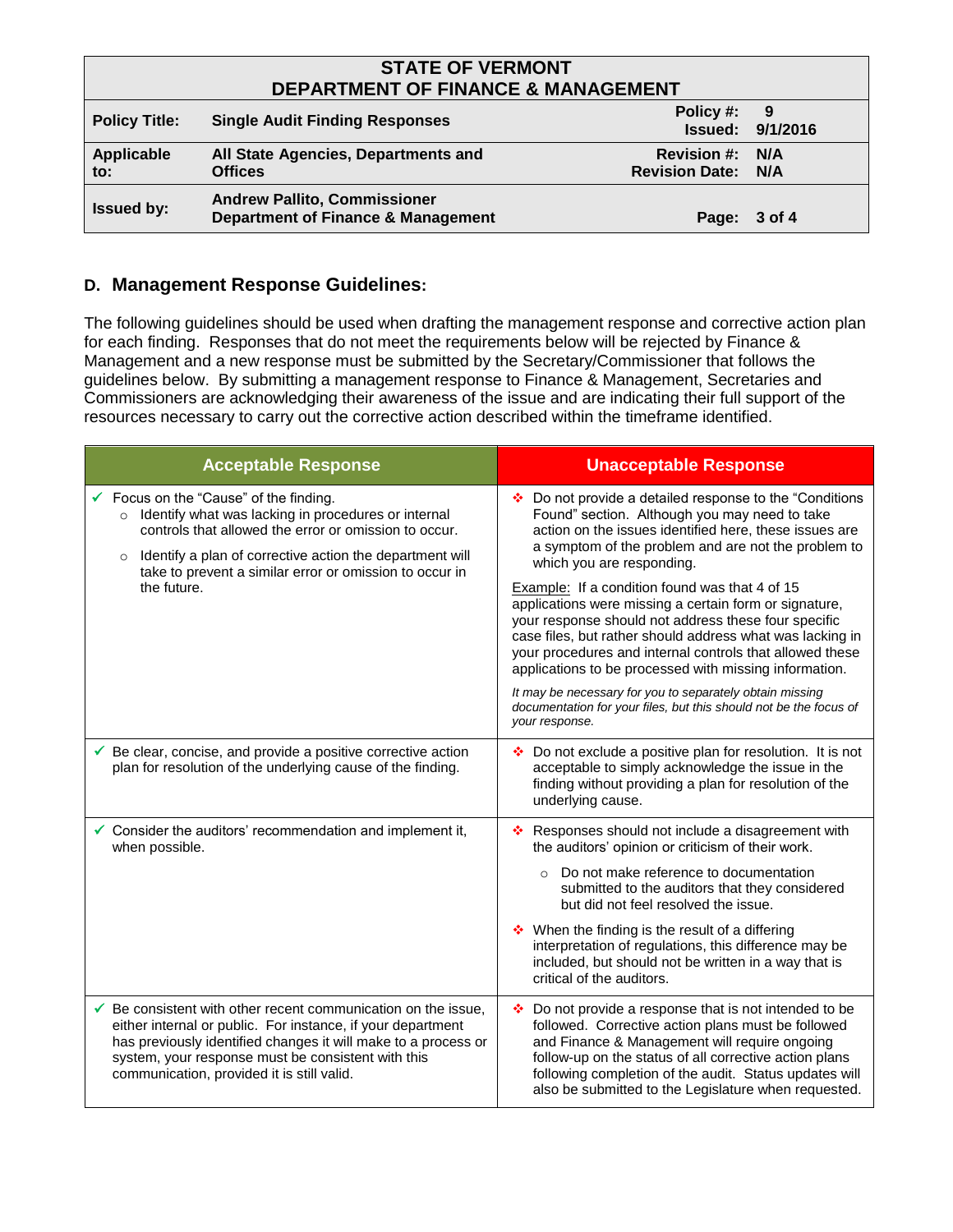# **STATE OF VERMONT DEPARTMENT OF FINANCE & MANAGEMENT**

| PLI ANTIJILINI VI TIINAINVE & IJIANAVEIJIEN I |                                                                                      |                                                     |                                |
|-----------------------------------------------|--------------------------------------------------------------------------------------|-----------------------------------------------------|--------------------------------|
| <b>Policy Title:</b>                          | <b>Single Audit Finding Responses</b>                                                | Policy #:                                           | - 9<br><b>Issued: 9/1/2016</b> |
| Applicable<br>to:                             | All State Agencies, Departments and<br><b>Offices</b>                                | <b>Revision #: N/A</b><br><b>Revision Date: N/A</b> |                                |
| <b>Issued by:</b>                             | <b>Andrew Pallito, Commissioner</b><br><b>Department of Finance &amp; Management</b> | Page: 3 of 4                                        |                                |

#### <span id="page-2-0"></span>**D. Management Response Guidelines:**

The following guidelines should be used when drafting the management response and corrective action plan for each finding. Responses that do not meet the requirements below will be rejected by Finance & Management and a new response must be submitted by the Secretary/Commissioner that follows the guidelines below. By submitting a management response to Finance & Management, Secretaries and Commissioners are acknowledging their awareness of the issue and are indicating their full support of the resources necessary to carry out the corrective action described within the timeframe identified.

| <b>Acceptable Response</b>                                                                                                                                                                                                                                                                              | <b>Unacceptable Response</b>                                                                                                                                                                                                                                                                                                                                                                                                                                                                                                                                                                                                                                                                                                                                      |  |
|---------------------------------------------------------------------------------------------------------------------------------------------------------------------------------------------------------------------------------------------------------------------------------------------------------|-------------------------------------------------------------------------------------------------------------------------------------------------------------------------------------------------------------------------------------------------------------------------------------------------------------------------------------------------------------------------------------------------------------------------------------------------------------------------------------------------------------------------------------------------------------------------------------------------------------------------------------------------------------------------------------------------------------------------------------------------------------------|--|
| Focus on the "Cause" of the finding.<br>o Identify what was lacking in procedures or internal<br>controls that allowed the error or omission to occur.<br>Identify a plan of corrective action the department will<br>$\circ$<br>take to prevent a similar error or omission to occur in<br>the future. | ❖ Do not provide a detailed response to the "Conditions"<br>Found" section. Although you may need to take<br>action on the issues identified here, these issues are<br>a symptom of the problem and are not the problem to<br>which you are responding.<br>Example: If a condition found was that 4 of 15<br>applications were missing a certain form or signature,<br>your response should not address these four specific<br>case files, but rather should address what was lacking in<br>your procedures and internal controls that allowed these<br>applications to be processed with missing information.<br>It may be necessary for you to separately obtain missing<br>documentation for your files, but this should not be the focus of<br>your response. |  |
| $\checkmark$ Be clear, concise, and provide a positive corrective action<br>plan for resolution of the underlying cause of the finding.                                                                                                                                                                 | ❖ Do not exclude a positive plan for resolution. It is not<br>acceptable to simply acknowledge the issue in the<br>finding without providing a plan for resolution of the<br>underlying cause.                                                                                                                                                                                                                                                                                                                                                                                                                                                                                                                                                                    |  |
| Consider the auditors' recommendation and implement it,<br>when possible.                                                                                                                                                                                                                               | Responses should not include a disagreement with<br>÷.<br>the auditors' opinion or criticism of their work.<br>Do not make reference to documentation<br>$\Omega$<br>submitted to the auditors that they considered<br>but did not feel resolved the issue.<br>❖ When the finding is the result of a differing<br>interpretation of regulations, this difference may be<br>included, but should not be written in a way that is<br>critical of the auditors.                                                                                                                                                                                                                                                                                                      |  |
| Be consistent with other recent communication on the issue,<br>either internal or public. For instance, if your department<br>has previously identified changes it will make to a process or<br>system, your response must be consistent with this<br>communication, provided it is still valid.        | Do not provide a response that is not intended to be<br>÷.<br>followed. Corrective action plans must be followed<br>and Finance & Management will require ongoing<br>follow-up on the status of all corrective action plans<br>following completion of the audit. Status updates will<br>also be submitted to the Legislature when requested.                                                                                                                                                                                                                                                                                                                                                                                                                     |  |